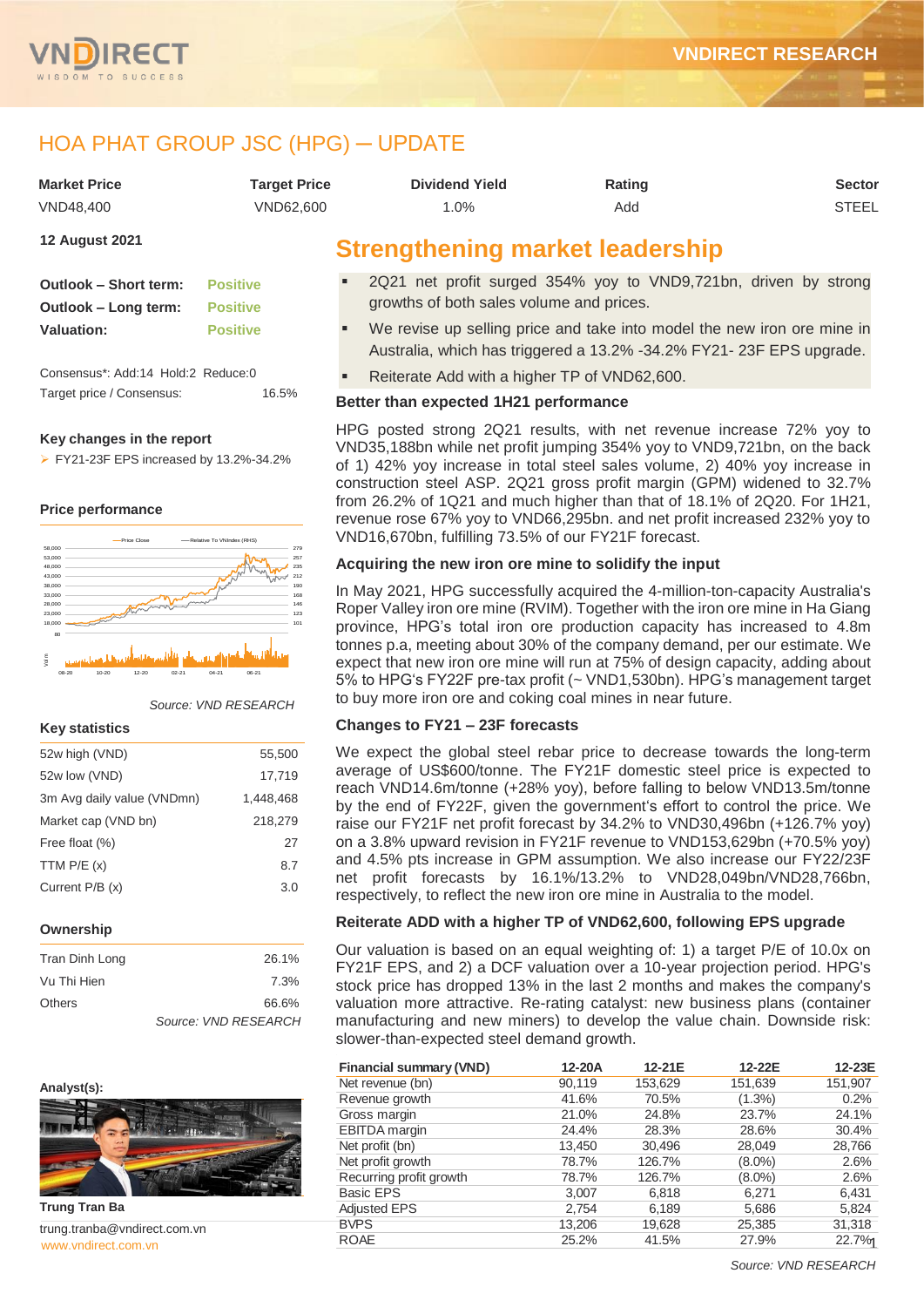



# HOA PHAT GROUP JSC (HPG) ─ UPDATE

| <b>Market Price</b>                                                                             | <b>Target Price</b> | <b>Dividend Yield</b> | <b>Rating</b> | <b>Sector</b> |
|-------------------------------------------------------------------------------------------------|---------------------|-----------------------|---------------|---------------|
| VND48.400                                                                                       | VND62.600           | $.0\%$                | Add           | <b>STEEL</b>  |
| the contract of the contract of the contract of<br>the control of the control of the control of |                     |                       |               |               |

**12 August 2021**

| Outlook - Short term: | <b>Positive</b> |
|-----------------------|-----------------|
| Outlook – Long term:  | <b>Positive</b> |
| <b>Valuation:</b>     | <b>Positive</b> |

Consensus\*: Add:14 Hold:2 Reduce:0 Target price / Consensus: 16.5%

#### **Key changes in the report**

 $\triangleright$  FY21-23F EPS increased by 13.2%-34.2%

#### **Price performance**



#### *Source: VND RESEARCH*

#### **Key statistics**

| 52w high (VND)             | 55,500    |
|----------------------------|-----------|
| 52w low (VND)              | 17,719    |
| 3m Avg daily value (VNDmn) | 1,448,468 |
| Market cap (VND bn)        | 218,279   |
| Free float (%)             | 27        |
| TTM $P/E(x)$               | 8.7       |
| Current $P/B(x)$           | 3.0       |
|                            |           |
| Ownership                  |           |

| Tran Dinh Long | 26.1%                |
|----------------|----------------------|
| Vu Thi Hien    | 7.3%                 |
| Others         | 66.6%                |
|                | Source: VND RESEARCH |





[www.vndirect.com.vn](file:///C:/Users/Andre/Downloads/www.vndirect.com.vn) 1 trung.tranba@vndirect.com.vn

## **Strengthening market leadership**

- 2Q21 net profit surged 354% yoy to VND9,721bn, driven by strong growths of both sales volume and prices.
- We revise up selling price and take into model the new iron ore mine in Australia, which has triggered a 13.2% -34.2% FY21- 23F EPS upgrade.
- Reiterate Add with a higher TP of VND62,600.

#### **Better than expected 1H21 performance**

HPG posted strong 2Q21 results, with net revenue increase 72% yoy to VND35,188bn while net profit jumping 354% yoy to VND9,721bn, on the back of 1) 42% yoy increase in total steel sales volume, 2) 40% yoy increase in construction steel ASP. 2Q21 gross profit margin (GPM) widened to 32.7% from 26.2% of 1Q21 and much higher than that of 18.1% of 2Q20. For 1H21, revenue rose 67% yoy to VND66,295bn. and net profit increased 232% yoy to VND16,670bn, fulfilling 73.5% of our FY21F forecast.

#### **Acquiring the new iron ore mine to solidify the input**

In May 2021, HPG successfully acquired the 4-million-ton-capacity Australia's Roper Valley iron ore mine (RVIM). Together with the iron ore mine in Ha Giang province, HPG's total iron ore production capacity has increased to 4.8m tonnes p.a, meeting about 30% of the company demand, per our estimate. We expect that new iron ore mine will run at 75% of design capacity, adding about 5% to HPG's FY22F pre-tax profit (~ VND1,530bn). HPG's management target to buy more iron ore and coking coal mines in near future.

#### **Changes to FY21 – 23F forecasts**

We expect the global steel rebar price to decrease towards the long-term average of US\$600/tonne. The FY21F domestic steel price is expected to reach VND14.6m/tonne (+28% yoy), before falling to below VND13.5m/tonne by the end of FY22F, given the government's effort to control the price. We raise our FY21F net profit forecast by 34.2% to VND30,496bn (+126.7% yoy) on a 3.8% upward revision in FY21F revenue to VND153,629bn (+70.5% yoy) and 4.5% pts increase in GPM assumption. We also increase our FY22/23F net profit forecasts by 16.1%/13.2% to VND28,049bn/VND28,766bn, respectively, to reflect the new iron ore mine in Australia to the model.

#### **Reiterate ADD with a higher TP of VND62,600, following EPS upgrade**

Our valuation is based on an equal weighting of: 1) a target P/E of 10.0x on FY21F EPS, and 2) a DCF valuation over a 10-year projection period. HPG's stock price has dropped 13% in the last 2 months and makes the company's valuation more attractive. Re-rating catalyst: new business plans (container manufacturing and new miners) to develop the value chain. Downside risk: slower-than-expected steel demand growth.

| <b>Financial summary (VND)</b> | 12-20A | 12-21E  | 12-22E    | 12-23E  |
|--------------------------------|--------|---------|-----------|---------|
| Net revenue (bn)               | 90,119 | 153,629 | 151,639   | 151,907 |
| Revenue growth                 | 41.6%  | 70.5%   | $(1.3\%)$ | 0.2%    |
| Gross margin                   | 21.0%  | 24.8%   | 23.7%     | 24.1%   |
| <b>EBITDA</b> margin           | 24.4%  | 28.3%   | 28.6%     | 30.4%   |
| Net profit (bn)                | 13,450 | 30,496  | 28,049    | 28,766  |
| Net profit growth              | 78.7%  | 126.7%  | $(8.0\%)$ | 2.6%    |
| Recurring profit growth        | 78.7%  | 126.7%  | $(8.0\%)$ | 2.6%    |
| <b>Basic EPS</b>               | 3,007  | 6,818   | 6,271     | 6,431   |
| <b>Adjusted EPS</b>            | 2,754  | 6,189   | 5,686     | 5,824   |
| <b>BVPS</b>                    | 13,206 | 19,628  | 25,385    | 31,318  |
| <b>ROAE</b>                    | 25.2%  | 41.5%   | 27.9%     | 22.7%   |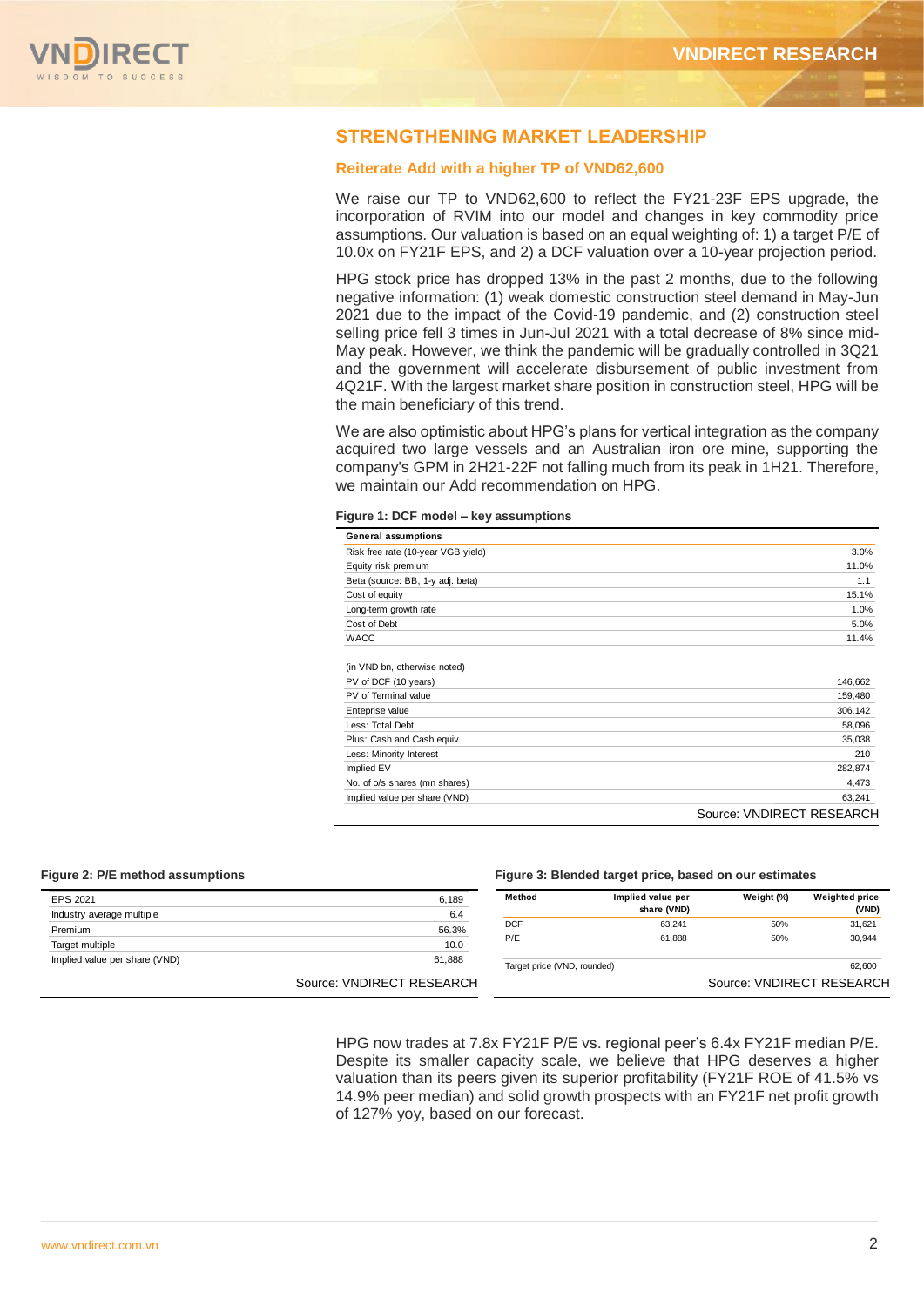

#### **STRENGTHENING MARKET LEADERSHIP**

#### **Reiterate Add with a higher TP of VND62,600**

We raise our TP to VND62,600 to reflect the FY21-23F EPS upgrade, the incorporation of RVIM into our model and changes in key commodity price assumptions. Our valuation is based on an equal weighting of: 1) a target P/E of 10.0x on FY21F EPS, and 2) a DCF valuation over a 10-year projection period.

HPG stock price has dropped 13% in the past 2 months, due to the following negative information: (1) weak domestic construction steel demand in May-Jun 2021 due to the impact of the Covid-19 pandemic, and (2) construction steel selling price fell 3 times in Jun-Jul 2021 with a total decrease of 8% since mid-May peak. However, we think the pandemic will be gradually controlled in 3Q21 and the government will accelerate disbursement of public investment from 4Q21F. With the largest market share position in construction steel, HPG will be the main beneficiary of this trend.

We are also optimistic about HPG's plans for vertical integration as the company acquired two large vessels and an Australian iron ore mine, supporting the company's GPM in 2H21-22F not falling much from its peak in 1H21. Therefore, we maintain our Add recommendation on HPG.

|  |  |  |  | Figure 1: DCF model – key assumptions |
|--|--|--|--|---------------------------------------|
|--|--|--|--|---------------------------------------|

| <b>General assumptions</b>         |                           |
|------------------------------------|---------------------------|
| Risk free rate (10-year VGB yield) | 3.0%                      |
| Equity risk premium                | 11.0%                     |
| Beta (source: BB, 1-y adj. beta)   | 1.1                       |
| Cost of equity                     | 15.1%                     |
| Long-term growth rate              | 1.0%                      |
| Cost of Debt                       | 5.0%                      |
| <b>WACC</b>                        | 11.4%                     |
| (in VND bn, otherwise noted)       |                           |
| PV of DCF (10 years)               | 146,662                   |
| PV of Terminal value               | 159,480                   |
| Enteprise value                    | 306,142                   |
| Less: Total Debt                   | 58,096                    |
| Plus: Cash and Cash equiv.         | 35,038                    |
| Less: Minority Interest            | 210                       |
| Implied EV                         | 282,874                   |
| No. of o/s shares (mn shares)      | 4,473                     |
| Implied value per share (VND)      | 63,241                    |
|                                    | Source: VNDIRECT RESEARCH |

#### **Figure 2: P/E method assumptions Figure 3: Blended target price, based on our estimates**

| EPS 2021                      | 6,189                     | Method                      | Implied value per | Weight (%)                | <b>Weighted price</b> |
|-------------------------------|---------------------------|-----------------------------|-------------------|---------------------------|-----------------------|
| Industry average multiple     | 6.4                       |                             | share (VND)       |                           | (VND)                 |
| Premium                       | 56.3%                     | <b>DCF</b>                  | 63.241            | 50%                       | 31,621                |
|                               |                           | P/E                         | 61,888            | 50%                       | 30,944                |
| Target multiple               | 10.0                      |                             |                   |                           |                       |
| Implied value per share (VND) | 61,888                    | Target price (VND, rounded) |                   |                           | 62.600                |
|                               |                           |                             |                   |                           |                       |
|                               | Source: VNDIRECT RESEARCH |                             |                   | Source: VNDIRECT RESEARCH |                       |
|                               |                           |                             |                   |                           |                       |

HPG now trades at 7.8x FY21F P/E vs. regional peer's 6.4x FY21F median P/E. Despite its smaller capacity scale, we believe that HPG deserves a higher valuation than its peers given its superior profitability (FY21F ROE of 41.5% vs 14.9% peer median) and solid growth prospects with an FY21F net profit growth of 127% yoy, based on our forecast.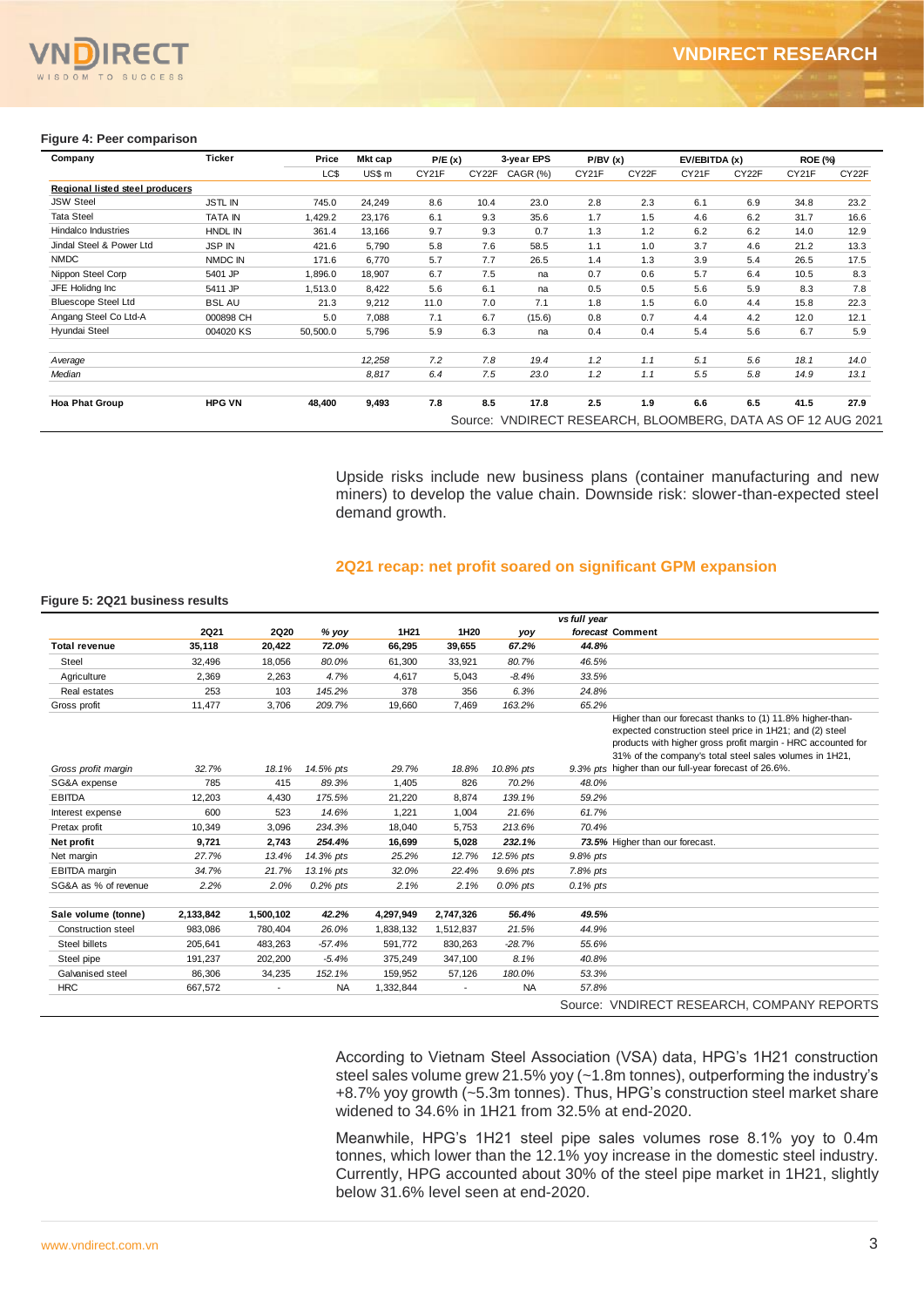#### **Figure 4: Peer comparison**

| Company                         | Ticker         | Price    | Mkt cap | P/E(x) |       | 3-year EPS                                                   | P/BV(x) |       | EV/EBITDA (x) |       | <b>ROE (%)</b> |       |
|---------------------------------|----------------|----------|---------|--------|-------|--------------------------------------------------------------|---------|-------|---------------|-------|----------------|-------|
|                                 |                | LC\$     | US\$ m  | CY21F  | CY22F | <b>CAGR (%)</b>                                              | CY21F   | CY22F | CY21F         | CY22F | CY21F          | CY22F |
| Regional listed steel producers |                |          |         |        |       |                                                              |         |       |               |       |                |       |
| <b>JSW Steel</b>                | <b>JSTL IN</b> | 745.0    | 24,249  | 8.6    | 10.4  | 23.0                                                         | 2.8     | 2.3   | 6.1           | 6.9   | 34.8           | 23.2  |
| <b>Tata Steel</b>               | <b>TATA IN</b> | 1,429.2  | 23,176  | 6.1    | 9.3   | 35.6                                                         | 1.7     | 1.5   | 4.6           | 6.2   | 31.7           | 16.6  |
| <b>Hindalco Industries</b>      | <b>HNDL IN</b> | 361.4    | 13,166  | 9.7    | 9.3   | 0.7                                                          | 1.3     | 1.2   | 6.2           | 6.2   | 14.0           | 12.9  |
| Jindal Steel & Power Ltd        | <b>JSP IN</b>  | 421.6    | 5,790   | 5.8    | 7.6   | 58.5                                                         | 1.1     | 1.0   | 3.7           | 4.6   | 21.2           | 13.3  |
| <b>NMDC</b>                     | NMDC IN        | 171.6    | 6,770   | 5.7    | 7.7   | 26.5                                                         | 1.4     | 1.3   | 3.9           | 5.4   | 26.5           | 17.5  |
| Nippon Steel Corp               | 5401 JP        | 1,896.0  | 18,907  | 6.7    | 7.5   | na                                                           | 0.7     | 0.6   | 5.7           | 6.4   | 10.5           | 8.3   |
| JFE Holidng Inc                 | 5411 JP        | 1,513.0  | 8,422   | 5.6    | 6.1   | na                                                           | 0.5     | 0.5   | 5.6           | 5.9   | 8.3            | 7.8   |
| <b>Bluescope Steel Ltd</b>      | <b>BSL AU</b>  | 21.3     | 9,212   | 11.0   | 7.0   | 7.1                                                          | 1.8     | 1.5   | 6.0           | 4.4   | 15.8           | 22.3  |
| Angang Steel Co Ltd-A           | 000898 CH      | 5.0      | 7,088   | 7.1    | 6.7   | (15.6)                                                       | 0.8     | 0.7   | 4.4           | 4.2   | 12.0           | 12.1  |
| Hyundai Steel                   | 004020 KS      | 50,500.0 | 5,796   | 5.9    | 6.3   | na                                                           | 0.4     | 0.4   | 5.4           | 5.6   | 6.7            | 5.9   |
| Average                         |                |          | 12,258  | 7.2    | 7.8   | 19.4                                                         | 1.2     | 1.1   | 5.1           | 5.6   | 18.1           | 14.0  |
| Median                          |                |          | 8,817   | 6.4    | 7.5   | 23.0                                                         | 1.2     | 1.1   | 5.5           | 5.8   | 14.9           | 13.1  |
| <b>Hoa Phat Group</b>           | <b>HPG VN</b>  | 48,400   | 9,493   | 7.8    | 8.5   | 17.8                                                         | 2.5     | 1.9   | 6.6           | 6.5   | 41.5           | 27.9  |
|                                 |                |          |         |        |       | Source: VNDIRECT RESEARCH, BLOOMBERG, DATA AS OF 12 AUG 2021 |         |       |               |       |                |       |

#### **2Q21 recap: net profit soared on significant GPM expansion**

#### **Figure 5: 2Q21 business results**

| Regional listed steel producers<br><b>JSW Steel</b>                                                                                                                                                        |                |              |                  | Mkt cap                                                                                                                                                       | P/E(x)           | 3-year EPS                                                   | P/BV(x)        |                                 |                                                                                                                                                                                                                                                                                                           |       |       | <b>ROE (%)</b> |
|------------------------------------------------------------------------------------------------------------------------------------------------------------------------------------------------------------|----------------|--------------|------------------|---------------------------------------------------------------------------------------------------------------------------------------------------------------|------------------|--------------------------------------------------------------|----------------|---------------------------------|-----------------------------------------------------------------------------------------------------------------------------------------------------------------------------------------------------------------------------------------------------------------------------------------------------------|-------|-------|----------------|
|                                                                                                                                                                                                            |                |              | LC\$             | US\$ m                                                                                                                                                        | CY21F            | CY22F CAGR (%)                                               | CY21F          | CY <sub>22</sub> F              | CY21F                                                                                                                                                                                                                                                                                                     | CY22F | CY21F | CY22F          |
|                                                                                                                                                                                                            |                |              |                  |                                                                                                                                                               |                  |                                                              |                |                                 |                                                                                                                                                                                                                                                                                                           |       |       |                |
|                                                                                                                                                                                                            | <b>JSTL IN</b> |              | 745.0            | 24,249                                                                                                                                                        | 8.6              | 10.4<br>23.0                                                 | 2.8            | 2.3                             | 6.1                                                                                                                                                                                                                                                                                                       | 6.9   | 34.8  | 23.2           |
| <b>Tata Steel</b>                                                                                                                                                                                          | <b>TATA IN</b> |              | 1,429.2          | 23,176                                                                                                                                                        | 6.1              | 9.3<br>35.6                                                  | 1.7            | 1.5                             | 4.6                                                                                                                                                                                                                                                                                                       | 6.2   | 31.7  | 16.6           |
| Hindalco Industries                                                                                                                                                                                        | HNDL IN        |              | 361.4            | 13,166                                                                                                                                                        | 9.7              | 9.3<br>0.7                                                   | 1.3            | 1.2                             | 6.2                                                                                                                                                                                                                                                                                                       | 6.2   | 14.0  | 12.9           |
| Jindal Steel & Power Ltd                                                                                                                                                                                   | <b>JSP IN</b>  |              | 421.6            | 5,790                                                                                                                                                         | 5.8              | 7.6<br>58.5                                                  | 1.1            | 1.0                             | 3.7                                                                                                                                                                                                                                                                                                       | 4.6   | 21.2  | 13.3           |
| <b>NMDC</b>                                                                                                                                                                                                | NMDC IN        |              | 171.6            | 6,770                                                                                                                                                         | 5.7              | 7.7<br>26.5                                                  | 1.4            | 1.3                             | 3.9                                                                                                                                                                                                                                                                                                       | 5.4   | 26.5  | 17.5           |
| Nippon Steel Corp                                                                                                                                                                                          | 5401 JP        |              | 1,896.0          | 18,907                                                                                                                                                        | 6.7              | 7.5<br>na                                                    | 0.7            | 0.6                             | 5.7                                                                                                                                                                                                                                                                                                       | 6.4   | 10.5  | 8.3            |
| JFE Holidng Inc                                                                                                                                                                                            | 5411 JP        |              | 1,513.0          | 8,422                                                                                                                                                         | 5.6              | 6.1<br>na                                                    | 0.5            | 0.5                             | 5.6                                                                                                                                                                                                                                                                                                       | 5.9   | 8.3   | 7.8            |
| <b>Bluescope Steel Ltd</b>                                                                                                                                                                                 | <b>BSL AU</b>  |              | 21.3             | 9,212                                                                                                                                                         | 11.0             | 7.0<br>7.1                                                   | 1.8            | 1.5                             | 6.0                                                                                                                                                                                                                                                                                                       | 4.4   | 15.8  | 22.3           |
| Angang Steel Co Ltd-A                                                                                                                                                                                      | 000898 CH      |              | 5.0              | 7,088                                                                                                                                                         | 7.1              | 6.7<br>(15.6)                                                | 0.8            | 0.7                             | 4.4                                                                                                                                                                                                                                                                                                       | 4.2   | 12.0  | 12.1           |
| Hyundai Steel                                                                                                                                                                                              | 004020 KS      |              | 50,500.0         | 5,796                                                                                                                                                         | 5.9              | 6.3<br>na                                                    | 0.4            | 0.4                             | 5.4                                                                                                                                                                                                                                                                                                       | 5.6   | 6.7   | 5.9            |
|                                                                                                                                                                                                            |                |              |                  |                                                                                                                                                               |                  |                                                              |                |                                 |                                                                                                                                                                                                                                                                                                           |       |       |                |
|                                                                                                                                                                                                            |                |              |                  | 12,258                                                                                                                                                        | 7.2              | 7.8<br>19.4                                                  | 1.2            | 1.1                             | 5.1                                                                                                                                                                                                                                                                                                       | 5.6   | 18.1  | 14.0           |
| Average                                                                                                                                                                                                    |                |              |                  |                                                                                                                                                               |                  |                                                              |                |                                 |                                                                                                                                                                                                                                                                                                           |       |       |                |
| Median                                                                                                                                                                                                     |                |              |                  | 8,817                                                                                                                                                         | 6.4              | 7.5<br>23.0                                                  | 1.2            | 1.1                             | 5.5                                                                                                                                                                                                                                                                                                       | 5.8   | 14.9  | 13.1           |
| <b>Hoa Phat Group</b>                                                                                                                                                                                      | <b>HPG VN</b>  |              | 48,400           | 9,493                                                                                                                                                         | 7.8              | 8.5<br>17.8                                                  | 2.5            | 1.9                             | 6.6                                                                                                                                                                                                                                                                                                       | 6.5   | 41.5  | 27.9           |
|                                                                                                                                                                                                            |                |              |                  |                                                                                                                                                               |                  |                                                              |                |                                 |                                                                                                                                                                                                                                                                                                           |       |       |                |
|                                                                                                                                                                                                            |                |              |                  |                                                                                                                                                               |                  | Source: VNDIRECT RESEARCH, BLOOMBERG, DATA AS OF 12 AUG 2021 |                |                                 |                                                                                                                                                                                                                                                                                                           |       |       |                |
|                                                                                                                                                                                                            |                |              |                  | Upside risks include new business plans (container manufacturing and new                                                                                      |                  |                                                              |                |                                 |                                                                                                                                                                                                                                                                                                           |       |       |                |
|                                                                                                                                                                                                            |                |              |                  | miners) to develop the value chain. Downside risk: slower-than-expected steel<br>demand growth.<br>2Q21 recap: net profit soared on significant GPM expansion |                  |                                                              |                |                                 |                                                                                                                                                                                                                                                                                                           |       |       |                |
|                                                                                                                                                                                                            |                |              |                  |                                                                                                                                                               |                  |                                                              |                |                                 |                                                                                                                                                                                                                                                                                                           |       |       |                |
|                                                                                                                                                                                                            | <b>2Q21</b>    | <b>2Q20</b>  | % yoy            | 1H <sub>21</sub>                                                                                                                                              | 1H <sub>20</sub> | yoy                                                          | vs full year   | forecast Comment                |                                                                                                                                                                                                                                                                                                           |       |       |                |
|                                                                                                                                                                                                            | 35,118         | 20,422       | 72.0%            | 66,295                                                                                                                                                        | 39,655           | 67.2%                                                        | 44.8%          |                                 |                                                                                                                                                                                                                                                                                                           |       |       |                |
| Steel                                                                                                                                                                                                      | 32,496         | 18,056       | 80.0%            | 61,300                                                                                                                                                        | 33,921           | 80.7%                                                        | 46.5%          |                                 |                                                                                                                                                                                                                                                                                                           |       |       |                |
|                                                                                                                                                                                                            |                |              |                  |                                                                                                                                                               |                  |                                                              |                |                                 |                                                                                                                                                                                                                                                                                                           |       |       |                |
| Agriculture                                                                                                                                                                                                | 2,369          | 2,263        | 4.7%             | 4,617                                                                                                                                                         | 5,043            | $-8.4%$                                                      | 33.5%          |                                 |                                                                                                                                                                                                                                                                                                           |       |       |                |
| igure 5: 2Q21 business results <sup>-</sup><br><b>Total revenue</b><br>Real estates<br>Gross profit                                                                                                        | 253<br>11,477  | 103<br>3,706 | 145.2%<br>209.7% | 378<br>19,660                                                                                                                                                 | 356<br>7,469     | 6.3%<br>163.2%                                               | 24.8%<br>65.2% |                                 |                                                                                                                                                                                                                                                                                                           |       |       |                |
|                                                                                                                                                                                                            | 32.7%          | 18.1%        | 14.5% pts        | 29.7%                                                                                                                                                         | 18.8%            | 10.8% pts                                                    |                |                                 | Higher than our forecast thanks to (1) 11.8% higher-than-<br>expected construction steel price in 1H21; and (2) steel<br>products with higher gross profit margin - HRC accounted for<br>31% of the company's total steel sales volumes in 1H21,<br>9.3% pts higher than our full-year forecast of 26.6%. |       |       |                |
|                                                                                                                                                                                                            | 785            | 415          | 89.3%            | 1,405                                                                                                                                                         | 826              | 70.2%                                                        | 48.0%          |                                 |                                                                                                                                                                                                                                                                                                           |       |       |                |
|                                                                                                                                                                                                            | 12,203         | 4,430        | 175.5%           | 21,220                                                                                                                                                        | 8,874            | 139.1%                                                       | 59.2%          |                                 |                                                                                                                                                                                                                                                                                                           |       |       |                |
|                                                                                                                                                                                                            | 600            | 523          | 14.6%            | 1,221                                                                                                                                                         | 1,004            | 21.6%                                                        | 61.7%          |                                 |                                                                                                                                                                                                                                                                                                           |       |       |                |
|                                                                                                                                                                                                            | 10,349         | 3,096        | 234.3%           | 18,040                                                                                                                                                        | 5,753            | 213.6%                                                       | 70.4%          |                                 |                                                                                                                                                                                                                                                                                                           |       |       |                |
|                                                                                                                                                                                                            | 9,721          | 2,743        | 254.4%           | 16,699                                                                                                                                                        | 5,028            | 232.1%                                                       |                | 73.5% Higher than our forecast. |                                                                                                                                                                                                                                                                                                           |       |       |                |
|                                                                                                                                                                                                            |                |              |                  |                                                                                                                                                               |                  |                                                              |                |                                 |                                                                                                                                                                                                                                                                                                           |       |       |                |
|                                                                                                                                                                                                            | 27.7%          | 13.4%        | 14.3% pts        | 25.2%                                                                                                                                                         | 12.7%            | 12.5% pts                                                    | 9.8% pts       |                                 |                                                                                                                                                                                                                                                                                                           |       |       |                |
|                                                                                                                                                                                                            | 34.7%          | 21.7%        | 13.1% pts        | 32.0%                                                                                                                                                         | 22.4%            | 9.6% pts                                                     | 7.8% pts       |                                 |                                                                                                                                                                                                                                                                                                           |       |       |                |
|                                                                                                                                                                                                            | 2.2%           | 2.0%         | $0.2%$ pts       | 2.1%                                                                                                                                                          | 2.1%             | 0.0% pts                                                     | 0.1% pts       |                                 |                                                                                                                                                                                                                                                                                                           |       |       |                |
|                                                                                                                                                                                                            |                |              |                  |                                                                                                                                                               |                  |                                                              |                |                                 |                                                                                                                                                                                                                                                                                                           |       |       |                |
|                                                                                                                                                                                                            | 2,133,842      | 1,500,102    | 42.2%            | 4,297,949                                                                                                                                                     | 2,747,326        | 56.4%                                                        | 49.5%          |                                 |                                                                                                                                                                                                                                                                                                           |       |       |                |
| Construction steel                                                                                                                                                                                         | 983,086        | 780,404      | 26.0%            | 1,838,132                                                                                                                                                     | 1,512,837        | 21.5%                                                        | 44.9%          |                                 |                                                                                                                                                                                                                                                                                                           |       |       |                |
| Steel billets                                                                                                                                                                                              | 205,641        | 483,263      | $-57.4%$         | 591,772                                                                                                                                                       | 830,263          | $-28.7%$                                                     | 55.6%          |                                 |                                                                                                                                                                                                                                                                                                           |       |       |                |
| Gross profit margin<br>SG&A expense<br><b>EBITDA</b><br>Interest expense<br>Pretax profit<br>Net profit<br>Net margin<br><b>EBITDA</b> margin<br>SG&A as % of revenue<br>Sale volume (tonne)<br>Steel pipe | 191,237        | 202,200      | $-5.4%$          | 375,249                                                                                                                                                       | 347,100          | 8.1%                                                         | 40.8%          |                                 |                                                                                                                                                                                                                                                                                                           |       |       |                |
| Galvanised steel                                                                                                                                                                                           | 86,306         | 34,235       | 152.1%           | 159,952                                                                                                                                                       | 57,126           | 180.0%                                                       | 53.3%          |                                 |                                                                                                                                                                                                                                                                                                           |       |       |                |
| <b>HRC</b>                                                                                                                                                                                                 | 667,572        |              | <b>NA</b>        | 1,332,844                                                                                                                                                     |                  | <b>NA</b>                                                    | 57.8%          |                                 |                                                                                                                                                                                                                                                                                                           |       |       |                |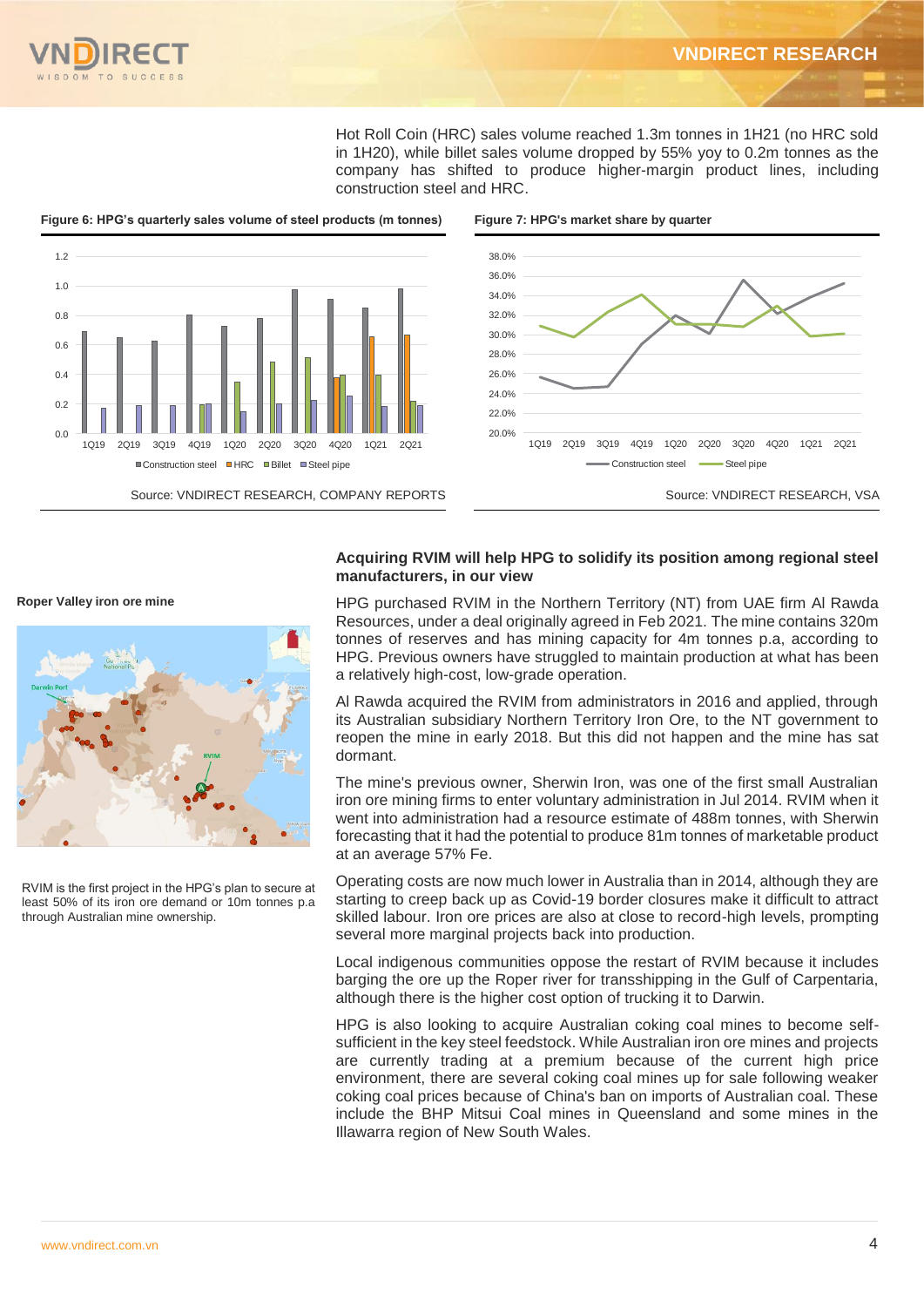

Hot Roll Coin (HRC) sales volume reached 1.3m tonnes in 1H21 (no HRC sold in 1H20), while billet sales volume dropped by 55% yoy to 0.2m tonnes as the company has shifted to produce higher-margin product lines, including construction steel and HRC.



**Roper Valley iron ore mine**



RVIM is the first project in the HPG's plan to secure at least 50% of its iron ore demand or 10m tonnes p.a through Australian mine ownership.

#### **Acquiring RVIM will help HPG to solidify its position among regional steel manufacturers, in our view**

HPG purchased RVIM in the Northern Territory (NT) from UAE firm Al Rawda Resources, under a deal originally agreed in Feb 2021. The mine contains 320m tonnes of reserves and has mining capacity for 4m tonnes p.a, according to HPG. Previous owners have struggled to maintain production at what has been a relatively high-cost, low-grade operation.

Al Rawda acquired the RVIM from administrators in 2016 and applied, through its Australian subsidiary Northern Territory Iron Ore, to the NT government to reopen the mine in early 2018. But this did not happen and the mine has sat dormant.

The mine's previous owner, Sherwin Iron, was one of the first small Australian iron ore mining firms to enter voluntary administration in Jul 2014. RVIM when it went into administration had a resource estimate of 488m tonnes, with Sherwin forecasting that it had the potential to produce 81m tonnes of marketable product at an average 57% Fe.

Operating costs are now much lower in Australia than in 2014, although they are starting to creep back up as Covid-19 border closures make it difficult to attract skilled labour. Iron ore prices are also at close to record-high levels, prompting several more marginal projects back into production.

Local indigenous communities oppose the restart of RVIM because it includes barging the ore up the Roper river for transshipping in the Gulf of Carpentaria, although there is the higher cost option of trucking it to Darwin.

HPG is also looking to acquire Australian coking coal mines to become selfsufficient in the key steel feedstock. While Australian iron ore mines and projects are currently trading at a premium because of the current high price environment, there are several coking coal mines up for sale following weaker coking coal prices because of China's ban on imports of Australian coal. These include the BHP Mitsui Coal mines in Queensland and some mines in the Illawarra region of New South Wales.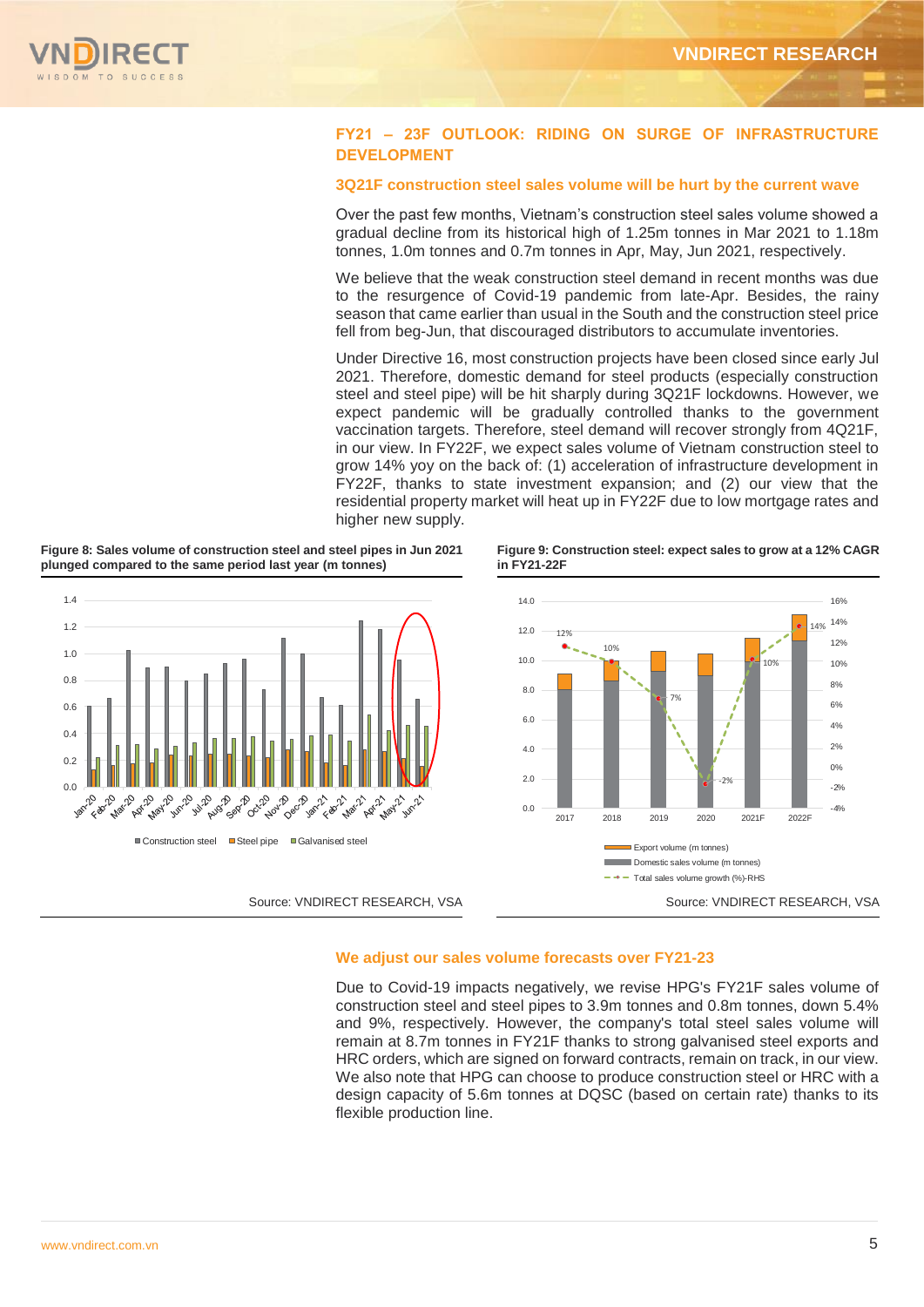

#### **FY21 – 23F OUTLOOK: RIDING ON SURGE OF INFRASTRUCTURE DEVELOPMENT**

#### **3Q21F construction steel sales volume will be hurt by the current wave**

Over the past few months, Vietnam's construction steel sales volume showed a gradual decline from its historical high of 1.25m tonnes in Mar 2021 to 1.18m tonnes, 1.0m tonnes and 0.7m tonnes in Apr, May, Jun 2021, respectively.

We believe that the weak construction steel demand in recent months was due to the resurgence of Covid-19 pandemic from late-Apr. Besides, the rainy season that came earlier than usual in the South and the construction steel price fell from beg-Jun, that discouraged distributors to accumulate inventories.

Under Directive 16, most construction projects have been closed since early Jul 2021. Therefore, domestic demand for steel products (especially construction steel and steel pipe) will be hit sharply during 3Q21F lockdowns. However, we expect pandemic will be gradually controlled thanks to the government vaccination targets. Therefore, steel demand will recover strongly from 4Q21F, in our view. In FY22F, we expect sales volume of Vietnam construction steel to grow 14% yoy on the back of: (1) acceleration of infrastructure development in FY22F, thanks to state investment expansion; and (2) our view that the residential property market will heat up in FY22F due to low mortgage rates and higher new supply.





**Figure 9: Construction steel: expect sales to grow at a 12% CAGR in FY21-22F**



#### **We adjust our sales volume forecasts over FY21-23**

Due to Covid-19 impacts negatively, we revise HPG's FY21F sales volume of construction steel and steel pipes to 3.9m tonnes and 0.8m tonnes, down 5.4% and 9%, respectively. However, the company's total steel sales volume will remain at 8.7m tonnes in FY21F thanks to strong galvanised steel exports and HRC orders, which are signed on forward contracts, remain on track, in our view. We also note that HPG can choose to produce construction steel or HRC with a design capacity of 5.6m tonnes at DQSC (based on certain rate) thanks to its flexible production line.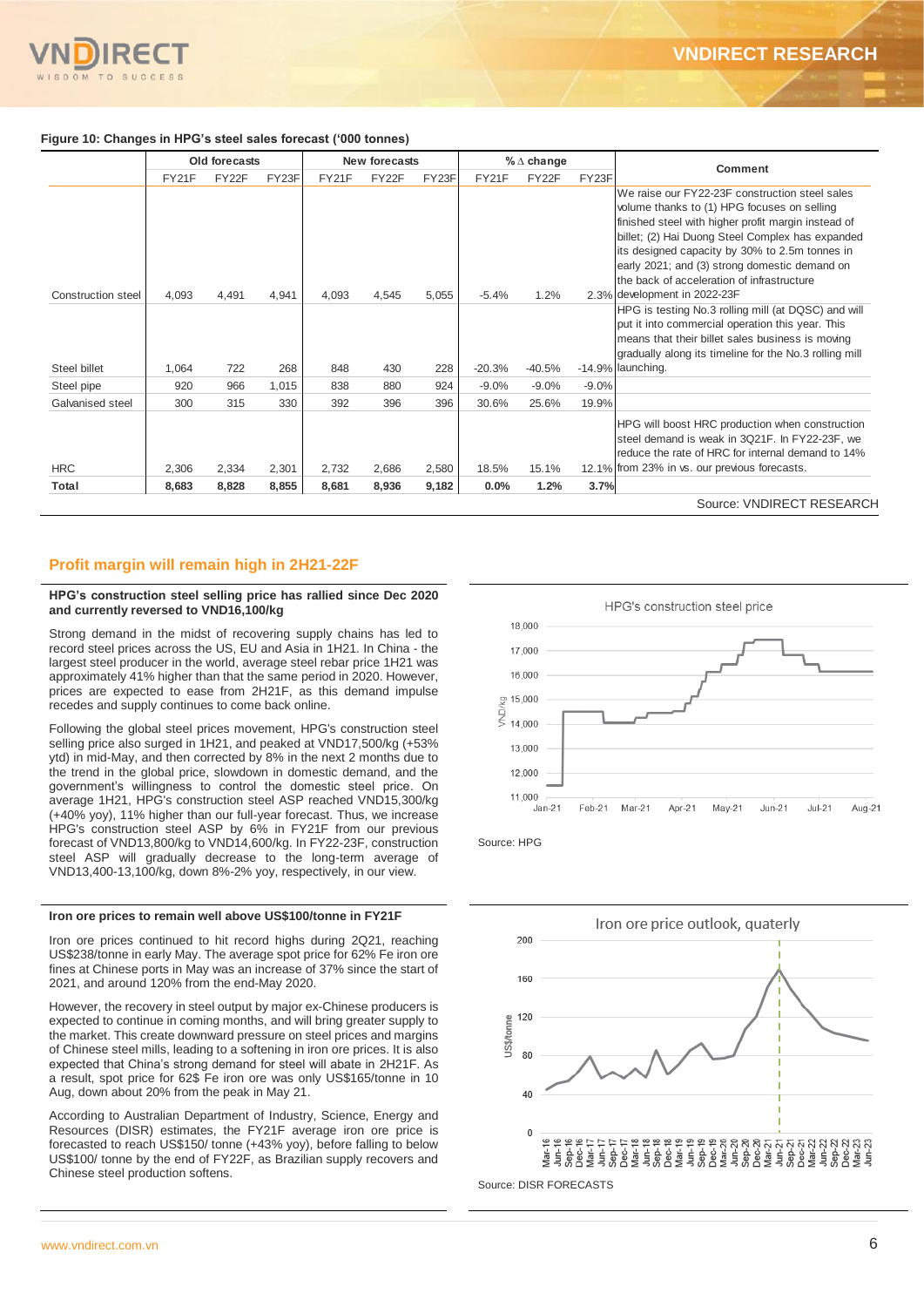#### **Figure 10: Changes in HPG's steel sales forecast ('000 tonnes)**

|                    |       | Old forecasts |       |       | New forecasts |       |          | $\%$ $\triangle$ change |         | Comment                                                                                                                                                                                                                                                                                                                                                   |
|--------------------|-------|---------------|-------|-------|---------------|-------|----------|-------------------------|---------|-----------------------------------------------------------------------------------------------------------------------------------------------------------------------------------------------------------------------------------------------------------------------------------------------------------------------------------------------------------|
|                    | FY21F | FY22F         | FY23F | FY21F | FY22F         | FY23F | FY21F    | FY22F                   | FY23F   |                                                                                                                                                                                                                                                                                                                                                           |
|                    |       |               |       |       |               |       |          |                         |         | We raise our FY22-23F construction steel sales<br>volume thanks to (1) HPG focuses on selling<br>finished steel with higher profit margin instead of<br>billet; (2) Hai Duong Steel Complex has expanded<br>its designed capacity by 30% to 2.5m tonnes in<br>early 2021; and (3) strong domestic demand on<br>the back of acceleration of infrastructure |
| Construction steel | 4,093 | 4,491         | 4,941 | 4,093 | 4,545         | 5,055 | $-5.4%$  | 1.2%                    |         | 2.3% development in 2022-23F<br>HPG is testing No.3 rolling mill (at DQSC) and will                                                                                                                                                                                                                                                                       |
|                    |       |               |       |       |               |       |          |                         |         | put it into commercial operation this year. This<br>means that their billet sales business is moving<br>gradually along its timeline for the No.3 rolling mill                                                                                                                                                                                            |
| Steel billet       | 1,064 | 722           | 268   | 848   | 430           | 228   | $-20.3%$ | $-40.5%$                |         | $-14.9\%$ launching.                                                                                                                                                                                                                                                                                                                                      |
| Steel pipe         | 920   | 966           | 1,015 | 838   | 880           | 924   | $-9.0%$  | $-9.0%$                 | $-9.0%$ |                                                                                                                                                                                                                                                                                                                                                           |
| Galvanised steel   | 300   | 315           | 330   | 392   | 396           | 396   | 30.6%    | 25.6%                   | 19.9%   |                                                                                                                                                                                                                                                                                                                                                           |
|                    |       |               |       |       |               |       |          |                         |         | HPG will boost HRC production when construction<br>steel demand is weak in 3Q21F. In FY22-23F, we<br>reduce the rate of HRC for internal demand to 14%                                                                                                                                                                                                    |
| <b>HRC</b>         | 2,306 | 2,334         | 2,301 | 2,732 | 2,686         | 2,580 | 18.5%    | 15.1%                   |         | 12.1% from 23% in vs. our previous forecasts.                                                                                                                                                                                                                                                                                                             |
| Total              | 8,683 | 8,828         | 8,855 | 8,681 | 8,936         | 9,182 | 0.0%     | 1.2%                    | 3.7%    |                                                                                                                                                                                                                                                                                                                                                           |
|                    |       |               |       |       |               |       |          |                         |         | Source: VNDIRECT RESEARCH                                                                                                                                                                                                                                                                                                                                 |

#### **Profit margin will remain high in 2H21-22F**

#### **HPG's construction steel selling price has rallied since Dec 2020 and currently reversed to VND16,100/kg**

Strong demand in the midst of recovering supply chains has led to record steel prices across the US, EU and Asia in 1H21. In China - the largest steel producer in the world, average steel rebar price 1H21 was approximately 41% higher than that the same period in 2020. However, prices are expected to ease from 2H21F, as this demand impulse recedes and supply continues to come back online.

Following the global steel prices movement, HPG's construction steel selling price also surged in 1H21, and peaked at VND17,500/kg (+53% ytd) in mid-May, and then corrected by 8% in the next 2 months due to the trend in the global price, slowdown in domestic demand, and the government's willingness to control the domestic steel price. On average 1H21, HPG's construction steel ASP reached VND15,300/kg (+40% yoy), 11% higher than our full-year forecast. Thus, we increase HPG's construction steel ASP by 6% in FY21F from our previous forecast of VND13,800/kg to VND14,600/kg. In FY22-23F, construction steel ASP will gradually decrease to the long-term average of VND13,400-13,100/kg, down 8%-2% yoy, respectively, in our view.

#### **Iron ore prices to remain well above US\$100/tonne in FY21F**

Iron ore prices continued to hit record highs during 2Q21, reaching US\$238/tonne in early May. The average spot price for 62% Fe iron ore fines at Chinese ports in May was an increase of 37% since the start of 2021, and around 120% from the end-May 2020.

However, the recovery in steel output by major ex-Chinese producers is expected to continue in coming months, and will bring greater supply to the market. This create downward pressure on steel prices and margins of Chinese steel mills, leading to a softening in iron ore prices. It is also expected that China's strong demand for steel will abate in 2H21F. As a result, spot price for 62\$ Fe iron ore was only US\$165/tonne in 10 Aug, down about 20% from the peak in May 21.

According to Australian Department of Industry, Science, Energy and Resources (DISR) estimates, the FY21F average iron ore price is forecasted to reach US\$150/ tonne (+43% yoy), before falling to below US\$100/ tonne by the end of FY22F, as Brazilian supply recovers and Chinese steel production softens.





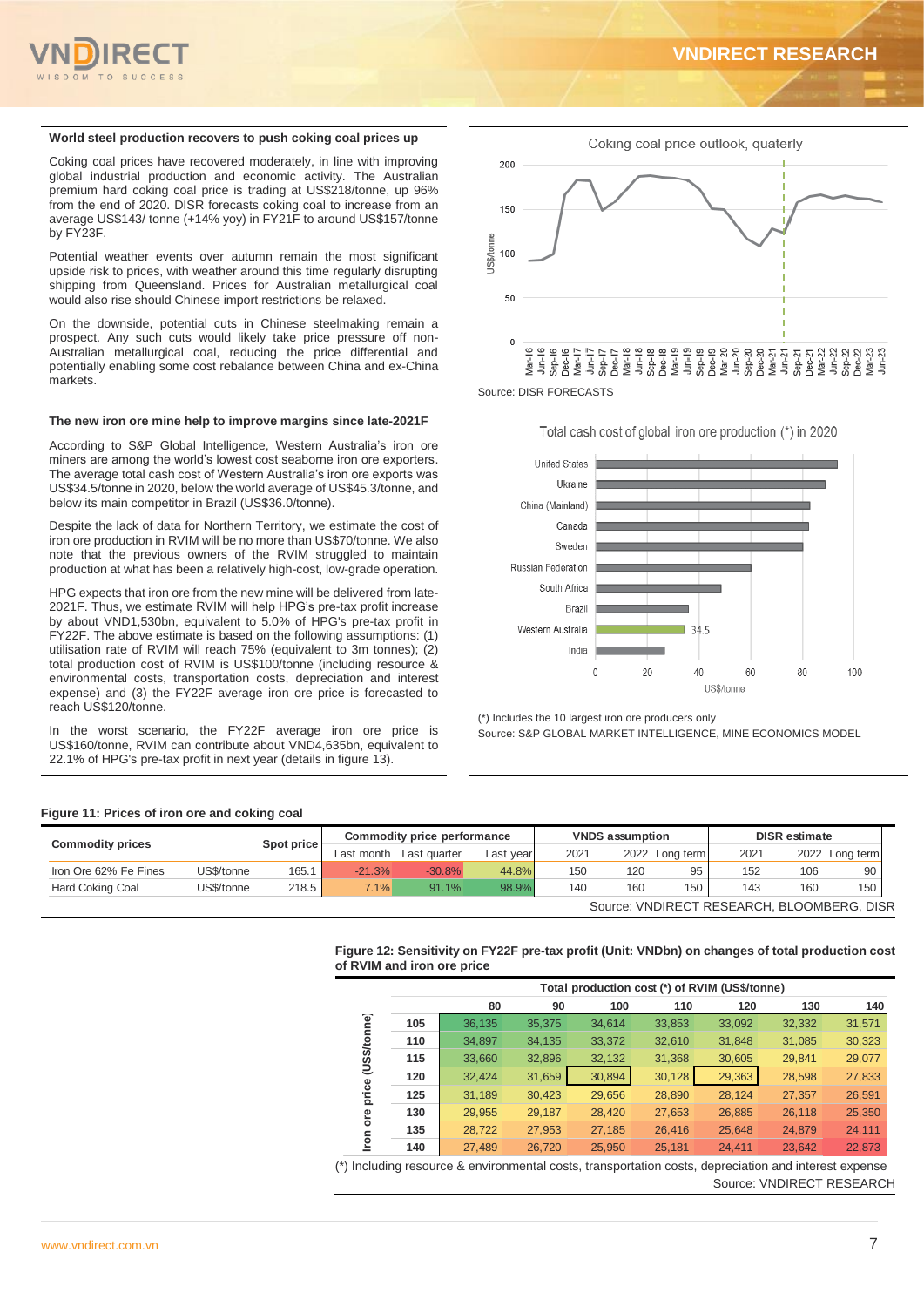

#### **World steel production recovers to push coking coal prices up**

Coking coal prices have recovered moderately, in line with improving global industrial production and economic activity. The Australian premium hard coking coal price is trading at US\$218/tonne, up 96% from the end of 2020. DISR forecasts coking coal to increase from an average US\$143/ tonne (+14% yoy) in FY21F to around US\$157/tonne by FY23F.

Potential weather events over autumn remain the most significant upside risk to prices, with weather around this time regularly disrupting shipping from Queensland. Prices for Australian metallurgical coal would also rise should Chinese import restrictions be relaxed.

On the downside, potential cuts in Chinese steelmaking remain a prospect. Any such cuts would likely take price pressure off non-Australian metallurgical coal, reducing the price differential and potentially enabling some cost rebalance between China and ex-China markets.

#### **The new iron ore mine help to improve margins since late-2021F**

According to S&P Global Intelligence, Western Australia's iron ore miners are among the world's lowest cost seaborne iron ore exporters. The average total cash cost of Western Australia's iron ore exports was US\$34.5/tonne in 2020, below the world average of US\$45.3/tonne, and below its main competitor in Brazil (US\$36.0/tonne).

Despite the lack of data for Northern Territory, we estimate the cost of iron ore production in RVIM will be no more than US\$70/tonne. We also note that the previous owners of the RVIM struggled to maintain production at what has been a relatively high-cost, low-grade operation.

HPG expects that iron ore from the new mine will be delivered from late-2021F. Thus, we estimate RVIM will help HPG's pre-tax profit increase by about VND1,530bn, equivalent to 5.0% of HPG's pre-tax profit in FY22F. The above estimate is based on the following assumptions: (1) utilisation rate of RVIM will reach 75% (equivalent to 3m tonnes); (2) total production cost of RVIM is US\$100/tonne (including resource & environmental costs, transportation costs, depreciation and interest expense) and (3) the FY22F average iron ore price is forecasted to reach US\$120/tonne.

the worst scenario, the FY22F average iron ore price is US\$160/tonne, RVIM can contribute about VND4,635bn, equivalent to 22.1% of HPG's pre-tax profit in next year (details in figure 13).



Source: DISR FORECASTS



(\*) Includes the 10 largest iron ore producers only

Source: S&P GLOBAL MARKET INTELLIGENCE, MINE ECONOMICS MODEL

#### **Figure 11: Prices of iron ore and coking coal**

| <b>Commodity prices</b> |            | Spot price |            | Commodity price performance |           |      | <b>VNDS</b> assumption |                | <b>DISR</b> estimate                       |     |                              |
|-------------------------|------------|------------|------------|-----------------------------|-----------|------|------------------------|----------------|--------------------------------------------|-----|------------------------------|
|                         |            |            | Last month | Last quarter                | Last year | 2021 |                        | 2022 Long term | 2021                                       |     | 2022 Long term<br>-90<br>106 |
| Iron Ore 62% Fe Fines   | US\$/tonne | 165.1      | $-21.3%$   | $-30.8%$                    | 44.8%     | 150  | 120                    | 95             | 152                                        |     |                              |
| Hard Coking Coal        | US\$/tonne | 218.5      | 7.1%       | 91.1%                       | 98.9%     | 140  | 160                    | 150            | 143                                        | 160 | 150                          |
|                         |            |            |            |                             |           |      |                        |                | Source: VNDIRECT RESEARCH, BLOOMBERG, DISR |     |                              |

#### **Figure 12: Sensitivity on FY22F pre-tax profit (Unit: VNDbn) on changes of total production cost of RVIM and iron ore price**

|                              |     | Total production cost (*) of RVIM (US\$/tonne) |        |        |        |        |        |        |  |  |
|------------------------------|-----|------------------------------------------------|--------|--------|--------|--------|--------|--------|--|--|
|                              |     | 80                                             | 90     | 100    | 110    | 120    | 130    | 140    |  |  |
| (US\$/tonne)<br>price<br>ore | 105 | 36,135                                         | 35,375 | 34,614 | 33,853 | 33,092 | 32,332 | 31,571 |  |  |
|                              | 110 | 34,897                                         | 34,135 | 33,372 | 32,610 | 31,848 | 31,085 | 30,323 |  |  |
|                              | 115 | 33,660                                         | 32,896 | 32,132 | 31,368 | 30,605 | 29,841 | 29,077 |  |  |
|                              | 120 | 32,424                                         | 31,659 | 30,894 | 30,128 | 29,363 | 28,598 | 27,833 |  |  |
|                              | 125 | 31,189                                         | 30,423 | 29,656 | 28,890 | 28,124 | 27,357 | 26,591 |  |  |
|                              | 130 | 29,955                                         | 29,187 | 28,420 | 27,653 | 26,885 | 26,118 | 25,350 |  |  |
|                              | 135 | 28,722                                         | 27,953 | 27,185 | 26,416 | 25,648 | 24,879 | 24,111 |  |  |
| ron                          | 140 | 27.489                                         | 26.720 | 25.950 | 25.181 | 24.411 | 23.642 | 22.873 |  |  |

(\*) Including resource & environmental costs, transportation costs, depreciation and interest expense Source: VNDIRECT RESEARCH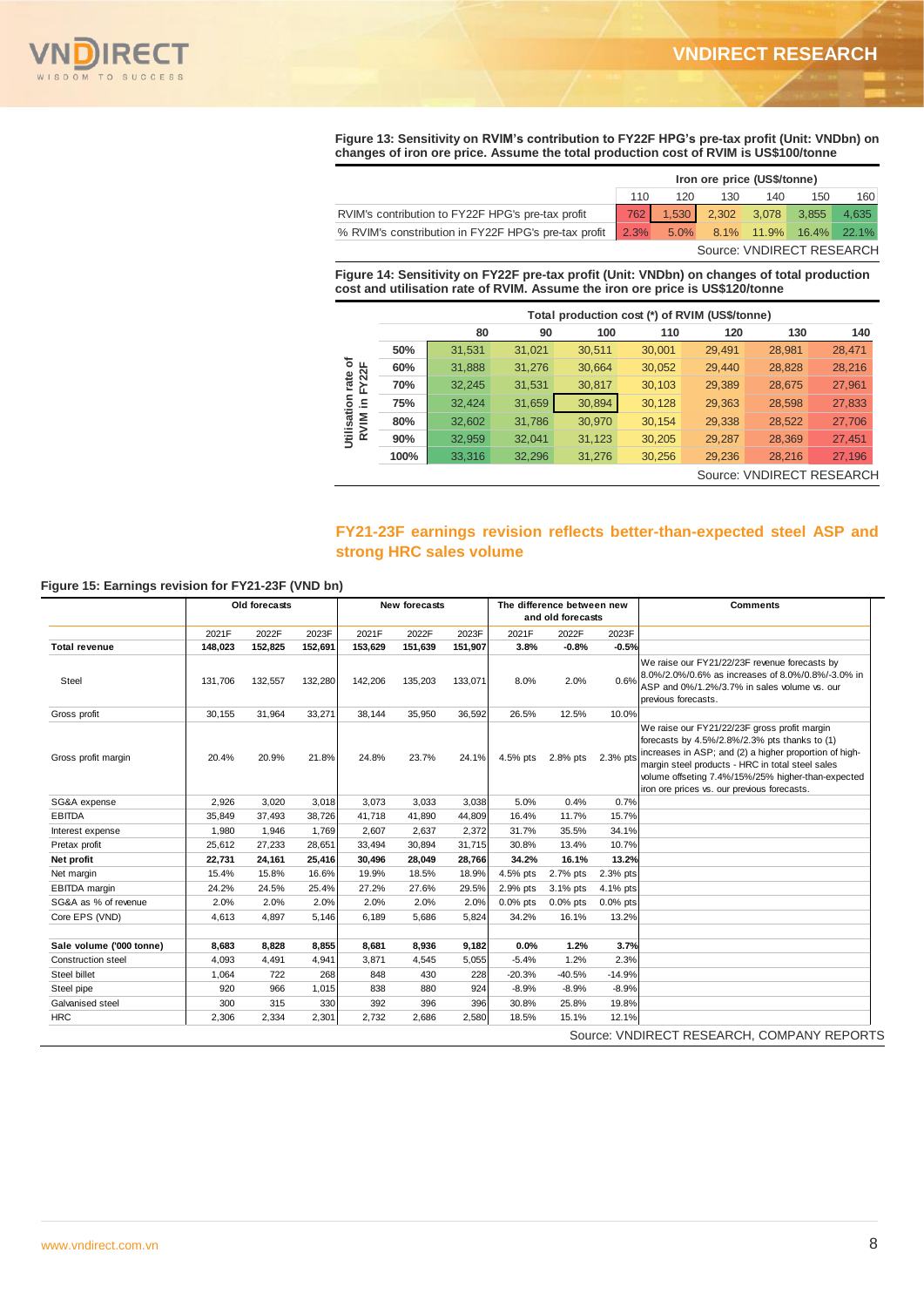

**Figure 13: Sensitivity on RVIM's contribution to FY22F HPG's pre-tax profit (Unit: VNDbn) on changes of iron ore price. Assume the total production cost of RVIM is US\$100/tonne**

|                                                                                       | Iron ore price (US\$/tonne) |     |                           |     |     |       |
|---------------------------------------------------------------------------------------|-----------------------------|-----|---------------------------|-----|-----|-------|
|                                                                                       | 110                         | 120 | 130                       | 140 | 150 | 160   |
| RVIM's contribution to FY22F HPG's pre-tax profit                                     | 762 I                       |     | 1,530 2,302 3,078 3,855   |     |     | 4.635 |
| % RVIM's constribution in FY22F HPG's pre-tax profit 2.3% 5.0% 8.1% 11.9% 16.4% 22.1% |                             |     |                           |     |     |       |
|                                                                                       |                             |     | Source: VNDIRECT RESEARCH |     |     |       |

**Figure 14: Sensitivity on FY22F pre-tax profit (Unit: VNDbn) on changes of total production cost and utilisation rate of RVIM. Assume the iron ore price is US\$120/tonne**

|                                                                    |      | Total production cost (*) of RVIM (US\$/tonne) |        |        |        |        |        |                           |
|--------------------------------------------------------------------|------|------------------------------------------------|--------|--------|--------|--------|--------|---------------------------|
|                                                                    |      | 80                                             | 90     | 100    | 110    | 120    | 130    | 140                       |
|                                                                    | 50%  | 31,531                                         | 31,021 | 30,511 | 30,001 | 29,491 | 28,981 | 28,471                    |
| ৳<br>FY <sub>22</sub> F<br>rate<br>둥<br>.드<br>Utilisatio<br>RVIM i | 60%  | 31,888                                         | 31,276 | 30,664 | 30,052 | 29,440 | 28,828 | 28,216                    |
|                                                                    | 70%  | 32,245                                         | 31,531 | 30,817 | 30,103 | 29,389 | 28,675 | 27,961                    |
|                                                                    | 75%  | 32,424                                         | 31,659 | 30,894 | 30,128 | 29,363 | 28,598 | 27,833                    |
|                                                                    | 80%  | 32,602                                         | 31,786 | 30,970 | 30,154 | 29,338 | 28,522 | 27,706                    |
|                                                                    | 90%  | 32,959                                         | 32,041 | 31,123 | 30,205 | 29,287 | 28,369 | 27,451                    |
|                                                                    | 100% | 33,316                                         | 32,296 | 31,276 | 30,256 | 29,236 | 28,216 | 27,196                    |
|                                                                    |      |                                                |        |        |        |        |        | Source: VNDIRECT RESEARCH |

#### **FY21-23F earnings revision reflects better-than-expected steel ASP and strong HRC sales volume**

#### **Figure 15: Earnings revision for FY21-23F (VND bn)**

|                           | Old forecasts |         | New forecasts |         | The difference between new<br>and old forecasts |         |             | <b>Comments</b> |             |                                                                                                                                                                                                                                                                                                                  |
|---------------------------|---------------|---------|---------------|---------|-------------------------------------------------|---------|-------------|-----------------|-------------|------------------------------------------------------------------------------------------------------------------------------------------------------------------------------------------------------------------------------------------------------------------------------------------------------------------|
|                           | 2021F         | 2022F   | 2023F         | 2021F   | 2022F                                           | 2023F   | 2021F       | 2022F           | 2023F       |                                                                                                                                                                                                                                                                                                                  |
| <b>Total revenue</b>      | 148,023       | 152,825 | 152,691       | 153,629 | 151,639                                         | 151,907 | 3.8%        | $-0.8%$         | $-0.5%$     |                                                                                                                                                                                                                                                                                                                  |
| Steel                     | 131.706       | 132,557 | 132,280       | 142,206 | 135,203                                         | 133,071 | 8.0%        | 2.0%            | 0.6%        | We raise our FY21/22/23F revenue forecasts by<br>8.0%/2.0%/0.6% as increases of 8.0%/0.8%/-3.0% in<br>ASP and 0%/1.2%/3.7% in sales volume vs. our<br>previous forecasts.                                                                                                                                        |
| Gross profit              | 30,155        | 31,964  | 33,271        | 38.144  | 35,950                                          | 36,592  | 26.5%       | 12.5%           | 10.0%       |                                                                                                                                                                                                                                                                                                                  |
| Gross profit margin       | 20.4%         | 20.9%   | 21.8%         | 24.8%   | 23.7%                                           | 24.1%   | 4.5% pts    | 2.8% pts        | 2.3% pts    | We raise our FY21/22/23F gross profit margin<br>forecasts by 4.5%/2.8%/2.3% pts thanks to (1)<br>increases in ASP; and (2) a higher proportion of high-<br>margin steel products - HRC in total steel sales<br>volume offseting 7.4%/15%/25% higher-than-expected<br>iron ore prices vs. our previous forecasts. |
| SG&A expense              | 2,926         | 3,020   | 3,018         | 3,073   | 3,033                                           | 3,038   | 5.0%        | 0.4%            | 0.7%        |                                                                                                                                                                                                                                                                                                                  |
| <b>EBITDA</b>             | 35.849        | 37.493  | 38.726        | 41.718  | 41.890                                          | 44.809  | 16.4%       | 11.7%           | 15.7%       |                                                                                                                                                                                                                                                                                                                  |
| Interest expense          | 1,980         | 1,946   | 1,769         | 2,607   | 2.637                                           | 2,372   | 31.7%       | 35.5%           | 34.1%       |                                                                                                                                                                                                                                                                                                                  |
| Pretax profit             | 25,612        | 27,233  | 28,651        | 33.494  | 30.894                                          | 31,715  | 30.8%       | 13.4%           | 10.7%       |                                                                                                                                                                                                                                                                                                                  |
| Net profit                | 22,731        | 24,161  | 25,416        | 30,496  | 28,049                                          | 28,766  | 34.2%       | 16.1%           | 13.2%       |                                                                                                                                                                                                                                                                                                                  |
| Net margin                | 15.4%         | 15.8%   | 16.6%         | 19.9%   | 18.5%                                           | 18.9%   | 4.5% pts    | 2.7% pts        | 2.3% pts    |                                                                                                                                                                                                                                                                                                                  |
| <b>EBITDA</b> margin      | 24.2%         | 24.5%   | 25.4%         | 27.2%   | 27.6%                                           | 29.5%   | 2.9% pts    | 3.1% pts        | 4.1% pts    |                                                                                                                                                                                                                                                                                                                  |
| SG&A as % of revenue      | 2.0%          | 2.0%    | 2.0%          | 2.0%    | 2.0%                                            | 2.0%    | $0.0\%$ pts | $0.0\%$ pts     | $0.0\%$ pts |                                                                                                                                                                                                                                                                                                                  |
| Core EPS (VND)            | 4,613         | 4.897   | 5,146         | 6.189   | 5.686                                           | 5,824   | 34.2%       | 16.1%           | 13.2%       |                                                                                                                                                                                                                                                                                                                  |
|                           |               |         |               |         |                                                 |         |             |                 |             |                                                                                                                                                                                                                                                                                                                  |
| Sale volume ('000 tonne)  | 8,683         | 8,828   | 8,855         | 8,681   | 8,936                                           | 9,182   | 0.0%        | 1.2%            | 3.7%        |                                                                                                                                                                                                                                                                                                                  |
| <b>Construction steel</b> | 4.093         | 4,491   | 4,941         | 3.871   | 4.545                                           | 5,055   | $-5.4%$     | 1.2%            | 2.3%        |                                                                                                                                                                                                                                                                                                                  |
| Steel billet              | 1,064         | 722     | 268           | 848     | 430                                             | 228     | $-20.3%$    | $-40.5%$        | $-14.9%$    |                                                                                                                                                                                                                                                                                                                  |
| Steel pipe                | 920           | 966     | 1,015         | 838     | 880                                             | 924     | $-8.9%$     | $-8.9%$         | $-8.9%$     |                                                                                                                                                                                                                                                                                                                  |
| Galvanised steel          | 300           | 315     | 330           | 392     | 396                                             | 396     | 30.8%       | 25.8%           | 19.8%       |                                                                                                                                                                                                                                                                                                                  |
| <b>HRC</b>                | 2.306         | 2.334   | 2,301         | 2.732   | 2.686                                           | 2,580   | 18.5%       | 15.1%           | 12.1%       |                                                                                                                                                                                                                                                                                                                  |
|                           |               |         |               |         |                                                 |         |             |                 |             | Source: VNDIRECT RESEARCH, COMPANY REPORTS                                                                                                                                                                                                                                                                       |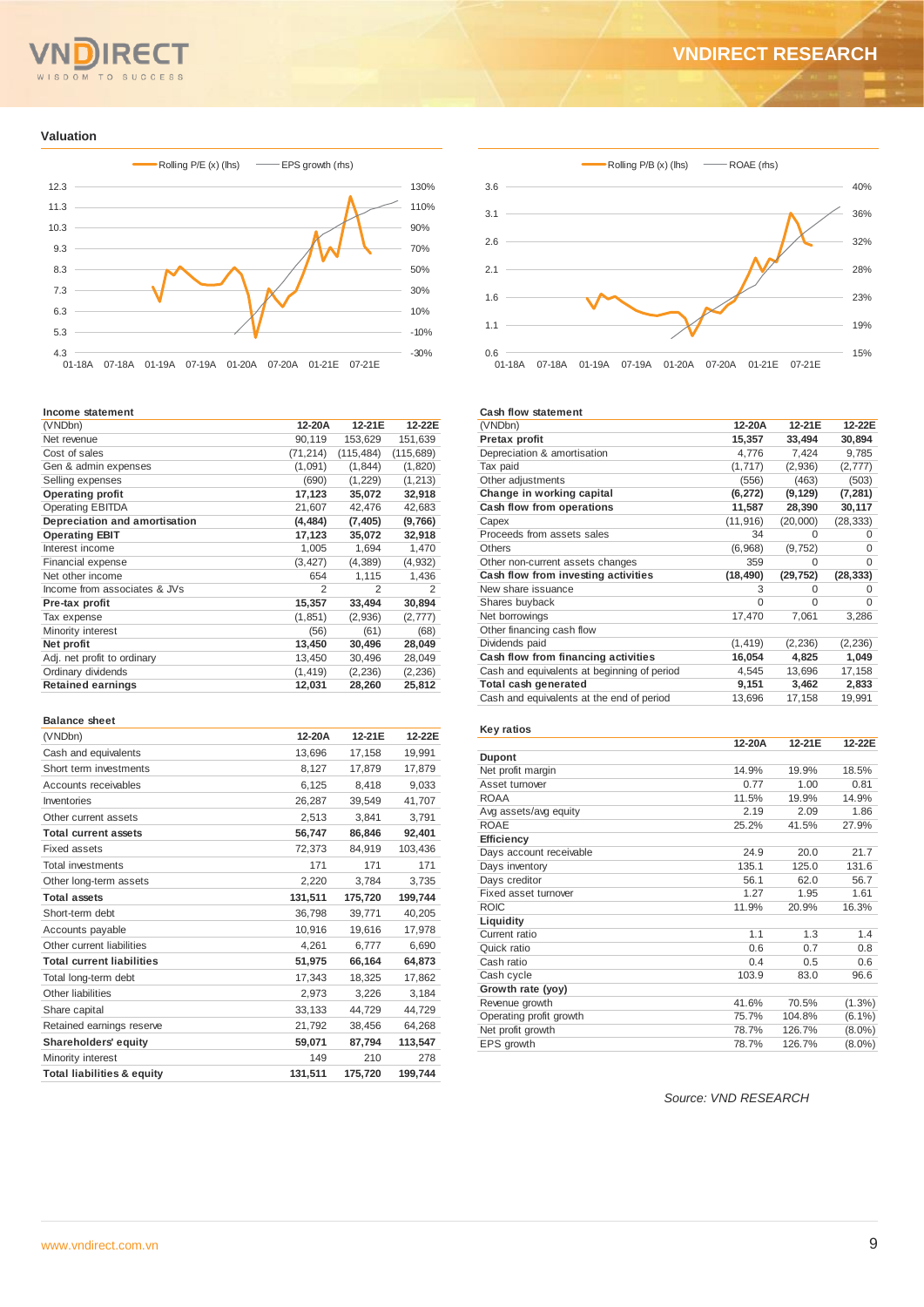# $T<sub>O</sub>$

#### **Valuation**



#### **Income statement**

| (VNDbn)                       | 12-20A         | 12-21E         | 12-22E     |
|-------------------------------|----------------|----------------|------------|
| Net revenue                   | 90,119         | 153,629        | 151,639    |
| Cost of sales                 | (71,214)       | (115, 484)     | (115, 689) |
| Gen & admin expenses          | (1,091)        | (1, 844)       | (1,820)    |
| Selling expenses              | (690)          | (1, 229)       | (1, 213)   |
| <b>Operating profit</b>       | 17,123         | 35,072         | 32,918     |
| <b>Operating EBITDA</b>       | 21,607         | 42,476         | 42,683     |
| Depreciation and amortisation | (4, 484)       | (7, 405)       | (9,766)    |
| <b>Operating EBIT</b>         | 17,123         | 35,072         | 32,918     |
| Interest income               | 1,005          | 1,694          | 1,470      |
| <b>Financial expense</b>      | (3, 427)       | (4, 389)       | (4,932)    |
| Net other income              | 654            | 1,115          | 1,436      |
| Income from associates & JVs  | $\overline{2}$ | $\mathfrak{p}$ | 2          |
| Pre-tax profit                | 15,357         | 33,494         | 30,894     |
| Tax expense                   | (1, 851)       | (2,936)        | (2,777)    |
| Minority interest             | (56)           | (61)           | (68)       |
| Net profit                    | 13,450         | 30,496         | 28,049     |
| Adj. net profit to ordinary   | 13,450         | 30,496         | 28,049     |
| Ordinary dividends            | (1, 419)       | (2, 236)       | (2, 236)   |
| <b>Retained earnings</b>      | 12,031         | 28,260         | 25,812     |

#### **Balance sheet**

| 12-20A  | 12-21E  | 12-22E  |
|---------|---------|---------|
| 13,696  | 17,158  | 19,991  |
| 8,127   | 17,879  | 17,879  |
| 6,125   | 8.418   | 9,033   |
| 26,287  | 39.549  | 41,707  |
| 2,513   | 3,841   | 3,791   |
| 56,747  | 86,846  | 92,401  |
| 72,373  | 84,919  | 103,436 |
| 171     | 171     | 171     |
| 2,220   | 3.784   | 3,735   |
| 131,511 | 175,720 | 199,744 |
| 36,798  | 39,771  | 40,205  |
| 10,916  | 19.616  | 17,978  |
| 4,261   | 6,777   | 6,690   |
| 51,975  | 66,164  | 64,873  |
| 17,343  | 18,325  | 17,862  |
| 2,973   | 3,226   | 3.184   |
| 33,133  | 44,729  | 44,729  |
| 21,792  | 38,456  | 64,268  |
| 59,071  | 87,794  | 113,547 |
| 149     | 210     | 278     |
| 131,511 | 175,720 | 199,744 |
|         |         |         |



#### **Cash flow statement**

| (VNDbn)                                     | 12-20A    | 12-21E    | 12-22E    |
|---------------------------------------------|-----------|-----------|-----------|
| Pretax profit                               | 15,357    | 33,494    | 30,894    |
| Depreciation & amortisation                 | 4,776     | 7,424     | 9,785     |
| Tax paid                                    | (1,717)   | (2,936)   | (2,777)   |
| Other adjustments                           | (556)     | (463)     | (503)     |
| Change in working capital                   | (6, 272)  | (9, 129)  | (7, 281)  |
| Cash flow from operations                   | 11,587    | 28,390    | 30,117    |
| Capex                                       | (11, 916) | (20,000)  | (28, 333) |
| Proceeds from assets sales                  | 34        | $\Omega$  | 0         |
| Others                                      | (6,968)   | (9, 752)  | $\Omega$  |
| Other non-current assets changes            | 359       | 0         | $\Omega$  |
| Cash flow from investing activities         | (18, 490) | (29, 752) | (28, 333) |
| New share issuance                          | 3         | $\Omega$  | 0         |
| Shares buyback                              | $\Omega$  | $\Omega$  | $\Omega$  |
| Net borrowings                              | 17,470    | 7,061     | 3,286     |
| Other financing cash flow                   |           |           |           |
| Dividends paid                              | (1, 419)  | (2, 236)  | (2, 236)  |
| Cash flow from financing activities         | 16,054    | 4,825     | 1,049     |
| Cash and equivalents at beginning of period | 4,545     | 13,696    | 17,158    |
| Total cash generated                        | 9,151     | 3,462     | 2,833     |
| Cash and equivalents at the end of period   | 13,696    | 17,158    | 19,991    |

#### **Key ratios**

|                         | 12-20A | 12-21E | 12-22E    |
|-------------------------|--------|--------|-----------|
| <b>Dupont</b>           |        |        |           |
| Net profit margin       | 14.9%  | 19.9%  | 18.5%     |
| Asset turnover          | 0.77   | 1.00   | 0.81      |
| <b>ROAA</b>             | 11.5%  | 19.9%  | 14.9%     |
| Avg assets/avg equity   | 2.19   | 2.09   | 1.86      |
| <b>ROAE</b>             | 25.2%  | 41.5%  | 27.9%     |
| Efficiency              |        |        |           |
| Days account receivable | 24.9   | 20.0   | 21.7      |
| Days inventory          | 135.1  | 125.0  | 131.6     |
| Days creditor           | 56.1   | 62.0   | 56.7      |
| Fixed asset turnover    | 1.27   | 1.95   | 1.61      |
| <b>ROIC</b>             | 11.9%  | 20.9%  | 16.3%     |
| Liquidity               |        |        |           |
| Current ratio           | 1.1    | 1.3    | 1.4       |
| Quick ratio             | 0.6    | 0.7    | 0.8       |
| Cash ratio              | 0.4    | 0.5    | 0.6       |
| Cash cycle              | 103.9  | 83.0   | 96.6      |
| Growth rate (yoy)       |        |        |           |
| Revenue growth          | 41.6%  | 70.5%  | $(1.3\%)$ |
| Operating profit growth | 75.7%  | 104.8% | $(6.1\%)$ |
| Net profit growth       | 78.7%  | 126.7% | $(8.0\%)$ |
| EPS growth              | 78.7%  | 126.7% | $(8.0\%)$ |

*Source: VND RESEARCH*